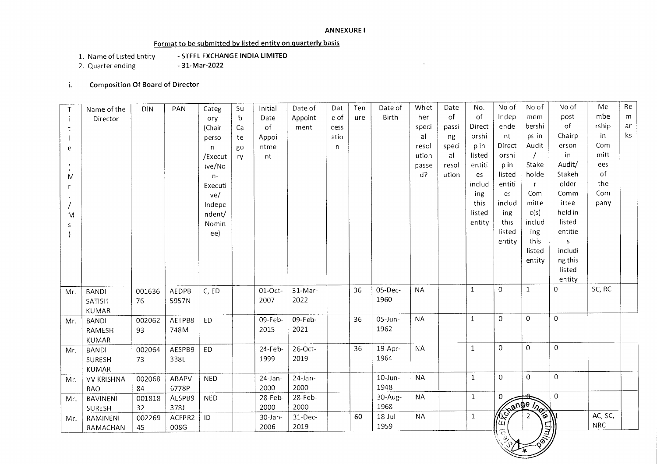### **ANNEXURE I**

 $\ddot{\phantom{a}}$ 

## **Format to be submitted by listed entity on quarterly basis**

- 1. Name of Listed Entity **STEEL EXCHANGE INDIA LIMITED**
- 2. Quarter ending

# i. **Composition Of Board of Director**

| $\mathsf{T}$ | Name of the       | <b>DIN</b> | PAN    | Categ        | Su | Initial    | Date of    | Dat  | Ten | Date of      | Whet      | Date  | No.          | No of          | No of              | No of            | Me         | Re |
|--------------|-------------------|------------|--------|--------------|----|------------|------------|------|-----|--------------|-----------|-------|--------------|----------------|--------------------|------------------|------------|----|
| $\mathbf{i}$ | Director          |            |        | ory          | b  | Date       | Appoint    | e of | ure | <b>Birth</b> | her       | of    | of           | Indep          | mem                | post             | mbe        | m  |
| t            |                   |            |        | (Chair       | Ca | of         | ment       | cess |     |              | speci     | passi | Direct       | ende           | bershi             | of               | rship      | ar |
|              |                   |            |        | perso        | te | Appoi      |            | atio |     |              | al        | ng    | orshi        | nt             | ps in              | Chairp           | in         | ks |
| e            |                   |            |        | $\mathsf{n}$ | go | ntme       |            | n    |     |              | resol     | speci | p in         | Direct         | Audit              | erson            | Com        |    |
|              |                   |            |        | /Execut      | ry | nt         |            |      |     |              | ution     | al    | listed       | orshi          |                    | in               | mitt       |    |
|              |                   |            |        | ive/No       |    |            |            |      |     |              | passe     | resol | entiti       | p in           | Stake              | Audit/           | ees        |    |
| M            |                   |            |        | $n-$         |    |            |            |      |     |              | $d$ ?     | ution | es           | listed         | holde              | Stakeh           | of         |    |
| r            |                   |            |        | Executi      |    |            |            |      |     |              |           |       | includ       | entiti         | $\mathsf{r}$       | older            | the        |    |
|              |                   |            |        | ve/          |    |            |            |      |     |              |           |       | ing          | es             | Com                | Comm             | Com        |    |
|              |                   |            |        | Indepe       |    |            |            |      |     |              |           |       | this         | includ         | mitte              | ittee            | pany       |    |
| M            |                   |            |        | ndent/       |    |            |            |      |     |              |           |       | listed       | ing            | e(s)               | held in          |            |    |
| S            |                   |            |        | Nomin        |    |            |            |      |     |              |           |       | entity       | this           | includ             | listed           |            |    |
|              |                   |            |        | ee)          |    |            |            |      |     |              |           |       |              | listed         | ing                | entitie          |            |    |
|              |                   |            |        |              |    |            |            |      |     |              |           |       |              | entity         | this               | S                |            |    |
|              |                   |            |        |              |    |            |            |      |     |              |           |       |              |                | listed             | includi          |            |    |
|              |                   |            |        |              |    |            |            |      |     |              |           |       |              |                | entity             | ng this          |            |    |
|              |                   |            |        |              |    |            |            |      |     |              |           |       |              |                |                    | listed           |            |    |
|              |                   |            |        |              |    |            |            |      |     |              |           |       |              |                |                    | entity           |            |    |
| Mr.          | <b>BANDI</b>      | 001636     | AEDPB  | C, ED        |    | $01-Oct-$  | 31-Mar-    |      | 36  | 05-Dec-      | <b>NA</b> |       | $\mathbf{1}$ | $\Omega$       | $\mathbf{1}$       | $\overline{0}$   | SC, RC     |    |
|              | SATISH            | 76         | 5957N  |              |    | 2007       | 2022       |      |     | 1960         |           |       |              |                |                    |                  |            |    |
|              | KUMAR             |            |        |              |    |            |            |      |     |              |           |       |              |                |                    |                  |            |    |
| Mr.          | <b>BANDI</b>      | 002062     | AETPB8 | <b>ED</b>    |    | 09-Feb-    | 09-Feb-    |      | 36  | 05-Jun-      | <b>NA</b> |       | $\mathbf{1}$ | $\Omega$       | 0                  | $\mathbf 0$      |            |    |
|              | RAMESH            | 93         | 748M   |              |    | 2015       | 2021       |      |     | 1962         |           |       |              |                |                    |                  |            |    |
|              | <b>KUMAR</b>      |            |        |              |    |            |            |      |     |              |           |       |              |                |                    |                  |            |    |
| Mr.          | <b>BANDI</b>      | 002064     | AESPB9 | <b>ED</b>    |    | $24$ -Feb- | 26-Oct-    |      | 36  | 19-Apr-      | <b>NA</b> |       | $1\,$        | $\overline{0}$ | $\Omega$           | $\boldsymbol{0}$ |            |    |
|              | SURESH            | 73         | 338L   |              |    | 1999       | 2019       |      |     | 1964         |           |       |              |                |                    |                  |            |    |
|              | <b>KUMAR</b>      |            |        |              |    |            |            |      |     |              |           |       |              |                |                    |                  |            |    |
| Mr.          | <b>VV KRISHNA</b> | 002068     | ABAPV  | <b>NED</b>   |    | $24$ -Jan- | $24$ -Jan- |      |     | $10$ -Jun-   | <b>NA</b> |       | $\mathbf{1}$ | $\overline{0}$ | $\overline{0}$     | $\boldsymbol{0}$ |            |    |
|              | RAO               | 84         | 6778P  |              |    | 2000       | 2000       |      |     | 1948         |           |       |              |                |                    |                  |            |    |
| Mr.          | <b>BAVINENI</b>   | 001818     | AESPB9 | <b>NED</b>   |    | $28$ -Feb- | 28-Feb-    |      |     | 30-Aug-      | <b>NA</b> |       | $\mathbf{1}$ | $\mathbf{O}$   |                    | $\pmb{0}$        |            |    |
|              | SURESH            | 32         | 378J   |              |    | 2000       | 2000       |      |     | 1968         |           |       |              |                |                    |                  |            |    |
| Mr.          | RAMINENI          | 002269     | ACFPR2 | ID           |    | 30-Jan-    | 31-Dec-    |      | 60  | 18-Jul-      | <b>NA</b> |       | $\mathbf{1}$ | ⁄&்<br>ய       | <b>Kange /2014</b> |                  | AC, SC,    |    |
|              | RAMACHAN          | 45         | 008G   |              |    | 2006       | 2019       |      |     | 1959         |           |       |              | ਿਲ             |                    | 닭)               | <b>NRC</b> |    |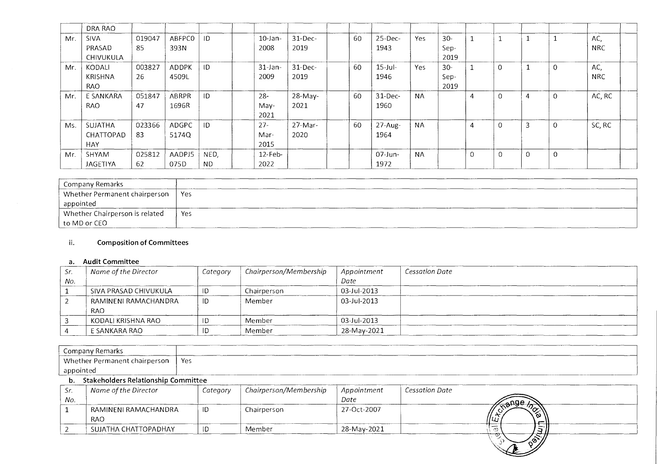|     | DRA RAO                            |              |                       |                   |                        |                    |    |                    |           |                        |          |          |                |                |                   |
|-----|------------------------------------|--------------|-----------------------|-------------------|------------------------|--------------------|----|--------------------|-----------|------------------------|----------|----------|----------------|----------------|-------------------|
| Mr. | <b>SIVA</b><br>PRASAD<br>CHIVUKULA | 019047<br>85 | ABFPC0<br>393N        | ID                | $10$ -Jan-<br>2008     | $31$ -Dec-<br>2019 | 60 | 25-Dec-<br>1943    | Yes       | $30 -$<br>Sep-<br>2019 |          |          |                |                | AC,<br><b>NRC</b> |
| Mr. | KODALI<br>KRISHNA<br>RAO           | 003827<br>26 | <b>ADDPK</b><br>4509L | ID                | $31$ -Jan-<br>2009     | $31$ -Dec-<br>2019 | 60 | $15$ -Jul-<br>1946 | Yes       | $30 -$<br>Sep-<br>2019 |          | $\Omega$ |                |                | AC,<br><b>NRC</b> |
| Mr. | E SANKARA<br><b>RAO</b>            | 051847<br>47 | ABRPR<br>1696R        | ID                | $28 -$<br>May-<br>2021 | 28-May-<br>2021    | 60 | $31$ -Dec-<br>1960 | <b>NA</b> |                        | 4        | $\Omega$ | $\overline{4}$ | $\overline{0}$ | AC, RC            |
| Ms. | SUJATHA<br>CHATTOPAD<br><b>HAY</b> | 023366<br>83 | ADGPC<br>5174Q        | ID                | $27 -$<br>Mar-<br>2015 | 27-Mar-<br>2020    | 60 | 27-Aug-<br>1964    | <b>NA</b> |                        | 4        | 0        | 3              | $\Omega$       | SC, RC            |
| Mr. | SHYAM<br>JAGETIYA                  | 025812<br>62 | AADPJ5<br>075D        | NED,<br><b>ND</b> | $12$ -Feb-<br>2022     |                    |    | 07-Jun-<br>1972    | <b>NA</b> |                        | $\Omega$ | $\Omega$ | $\Omega$       | $\Omega$       |                   |

| Company Remarks                |     |
|--------------------------------|-----|
| Whether Permanent chairperson  | Yes |
| appointed                      |     |
| Whether Chairperson is related | Yes |
| to MD or CEO                   |     |

# ii. Composition of Committees

### a. Audit Committee

| Sr. | Name of the Director               | Category | Chairperson/Membership | Appointment | Cessation Date |
|-----|------------------------------------|----------|------------------------|-------------|----------------|
| No. |                                    |          |                        | Date        |                |
|     | SIVA PRASAD CHIVUKULA              | -ID      | Chairperson            | 03-Jul-2013 |                |
|     | RAMINENI RAMACHANDRA<br><b>RAO</b> | -ID      | Member                 | 03-Jul-2013 |                |
|     | KODALI KRISHNA RAO                 | ID       | Member                 | 03-Jul-2013 |                |
|     | E SANKARA RAO                      | ID       | Member                 | 28-May-2021 |                |

|           | Company Remarks                        |          |                        |             |                |
|-----------|----------------------------------------|----------|------------------------|-------------|----------------|
|           | Whether Permanent chairperson          | Yes      |                        |             |                |
| appointed |                                        |          |                        |             |                |
|           | b. Stakeholders Relationship Committee |          |                        |             |                |
| Sr.       | Name of the Director                   | Category | Chairperson/Membership | Appointment | Cessation Date |
| No.       |                                        |          |                        | Date        | ‱‱             |
|           | RAMINENI RAMACHANDRA                   | ID       | Chairperson            | 27-Oct-2007 |                |
|           | <b>RAO</b>                             |          |                        |             |                |
|           | SUJATHA CHATTOPADHAY                   | ID       | Member                 | 28-May-2021 |                |

<u>न्ना</u>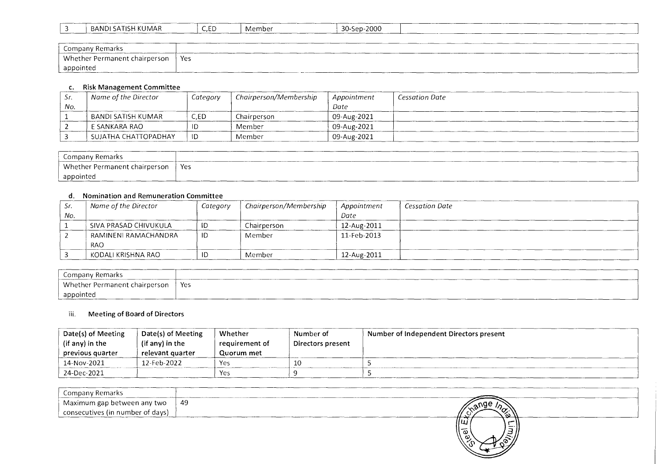| BANDI<br>، SATISH .<br>KUMAR | C,ED | Member | 30-Sep-2000 |  |  |
|------------------------------|------|--------|-------------|--|--|
|                              |      |        |             |  |  |

| $\overline{\phantom{0}}$<br>Company Remarks |     |
|---------------------------------------------|-----|
| Whether Permanent chairperson               | Yes |
| appointed                                   |     |

# c. Risk Management Committee

| Эr. | Name of the Director | Category | Chairperson/Membership | Appointment | Cessation Date |
|-----|----------------------|----------|------------------------|-------------|----------------|
| No. |                      |          |                        | Date        |                |
|     | BANDI SATISH KUMAR   | C.ED     | Chairperson            | 09-Aug-2021 |                |
|     | E SANKARA RAO        |          | Member                 | 09-Aug-2021 |                |
|     | SUJATHA CHATTOPADHAY | ID       | Member                 | 09-Aug-2021 |                |

| Company Remarks                 |     |
|---------------------------------|-----|
| Whether Permanent chairperson ' | Yes |
| appointed                       |     |

## d. Nomination and Remuneration Committee

| Sr. | Name of the Director  | Category | Chairperson/Membership | Appointment | <b>Cessation Date</b> |
|-----|-----------------------|----------|------------------------|-------------|-----------------------|
| No. |                       |          |                        | Date        |                       |
|     | SIVA PRASAD CHIVUKULA |          | Chairperson            | 12-Aug-2011 |                       |
|     | RAMINENI RAMACHANDRA  |          | Member                 | 11-Feb-2013 |                       |
|     | <b>RAO</b>            |          |                        |             |                       |
|     | KODALI KRISHNA RAO    |          | Member                 | 12-Aug-2011 |                       |

| Company Remarks               |     |
|-------------------------------|-----|
| Whether Permanent chairperson | Yes |
| appointed                     |     |

## iii. Meeting of Board of Directors

| Date(s) of Meeting | Date(s) of Meeting | Whether        | Number of           | Number of Independent Directors present |
|--------------------|--------------------|----------------|---------------------|-----------------------------------------|
| (if any) in the    | (if any) in the    | requirement of | Directors present [ |                                         |
| previous quarter   | relevant quarter   | Quorum met     |                     |                                         |
| 14-Nov-2021        | 12-Feb-2022        | Yes            |                     |                                         |
| 24-Dec-2021        |                    | Yes            |                     |                                         |

| Company Remarks                    |                           |
|------------------------------------|---------------------------|
| Maximum gap between any two        | -49<br>$\sim$ ange $\sim$ |
| ' consecutives (in number of days) | ,,,,<br>്റി<br>----       |
|                                    | 11யி                      |

సా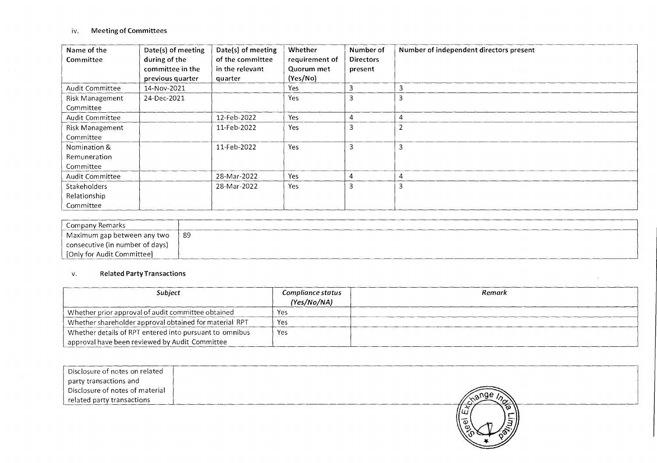# iv. Meeting of Committees

| Name of the<br>Committee                  | Date(s) of meeting<br>during of the<br>committee in the<br>previous quarter | Date(s) of meeting<br>of the committee<br>in the relevant<br>quarter | Whether<br>requirement of<br>Quorum met<br>(Yes/No) | Number of<br><b>Directors</b><br>present | Number of independent directors present |
|-------------------------------------------|-----------------------------------------------------------------------------|----------------------------------------------------------------------|-----------------------------------------------------|------------------------------------------|-----------------------------------------|
| Audit Committee                           | 14-Nov-2021                                                                 |                                                                      | Yes.                                                |                                          |                                         |
| <b>Risk Management</b><br>Committee       | 24-Dec-2021                                                                 |                                                                      | Yes                                                 |                                          |                                         |
| Audit Committee                           |                                                                             | 12-Feb-2022                                                          | Yes                                                 |                                          |                                         |
| Risk Management<br>Committee              |                                                                             | 11-Feb-2022                                                          | Yes                                                 | 3                                        |                                         |
| Nomination &<br>Remuneration<br>Committee |                                                                             | 11-Feb-2022                                                          | Yes                                                 |                                          | 3                                       |
| Audit Committee                           |                                                                             | 28-Mar-2022                                                          | Yes                                                 |                                          | 4                                       |
| Stakeholders<br>Relationship<br>Committee |                                                                             | 28-Mar-2022                                                          | Yes                                                 |                                          |                                         |

| ' Company Remarks               |    |
|---------------------------------|----|
| Maximum gap between any two     | 89 |
| consecutive (in number of days) |    |
| [Only for Audit Committee]      |    |

# v. Related Party Transactions

| <b>Subiect</b>                                          | Compliance status<br>(Yes/No/NA) | Remark |
|---------------------------------------------------------|----------------------------------|--------|
| Whether prior approval of audit committee obtained      | Yes                              |        |
| Whether shareholder approval obtained for material RPT  | Yes                              |        |
| Whether details of RPT entered into pursuant to omnibus | Yes                              |        |
| approval have been reviewed by Audit Committee          |                                  |        |

| Disclosure of notes on related<br>party transactions and<br>  Disclosure of notes of material<br>related party transactions |  |
|-----------------------------------------------------------------------------------------------------------------------------|--|
|                                                                                                                             |  |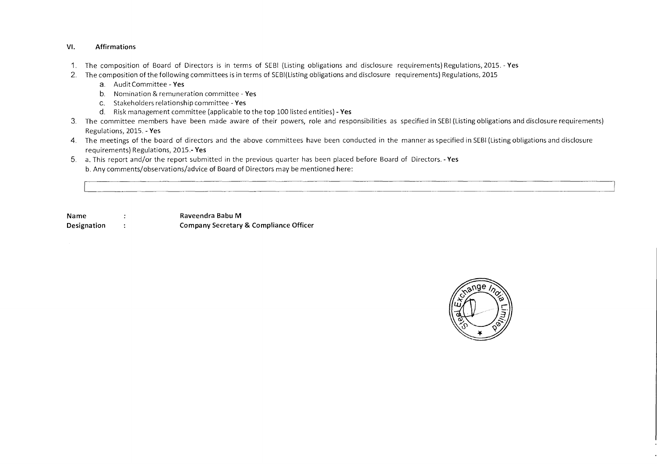#### VI. Affirmations

- 1. The composition of Board of Directors is in terms of SEBI (Listing obligations and disclosure requirements) Regulations, 2015. Yes
- 2. The composition of the following committees is in terms of SEBI(Listing obligations and disclosure requirements) Regulations, 2015
	- a. Audit Committee Yes
	- b. Nomination & remuneration committee Yes
	- C. Stakeholders relationship committee Yes
	- d. Risk management committee (applicable to the top 100 listed entities) Yes
- 3. The committee members have been made aware of their powers, role and responsibilities as specified in SEBI (Listing obligations and disclosure requirements) Regulations, 2015. - Yes
- 4. The meetings of the board of directors and the above committees have been conducted in the manner as specified in SEBI (Listing obligations and disclosure requirements) Regulations, 2015.- Yes
- 5. a. This report and/or the report submitted in the previous quarter has been placed before Board of Directors. Yes b. Any comments/observations/advice of Board of Directors may be mentioned here:

Name : The Raveendra Babu M Designation Company Secretary & Compliance Officer

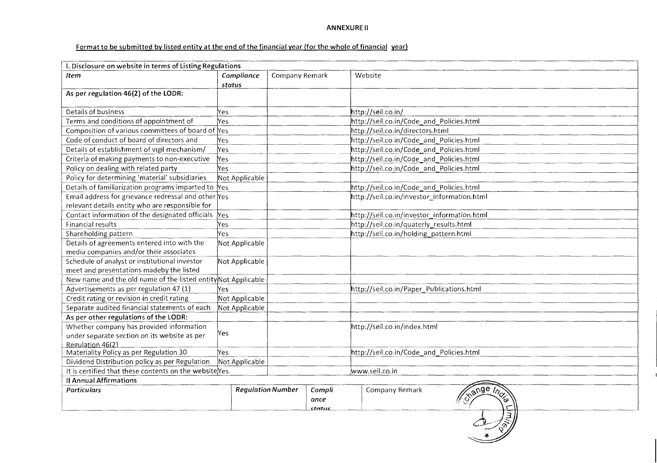### **ANNEXURE II**

## **Format to be submitted by listed entity at the end of the financial year (for the whole of financial yearl**

| Company Remark<br>Website<br>Item<br>Compliance<br>status<br>As per regulation 46(2) of the LODR:<br>Details of business<br>http://seil.co.in/<br>Yes.<br>Terms and conditions of appointment of<br>http://seil.co.in/Code_and_Policies.html<br>Yes.<br>Composition of various committees of board of Yes<br>http://seil.co.in/directors.html<br>Code of conduct of board of directors and<br>http://seil.co.in/Code_and_Policies.html<br>Yes<br>Details of establishment of vigil mechanism/<br>http://seil.co.in/Code and Policies.html<br>Yes.<br>http://seil.co.in/Code_and_Policies.html<br>Criteria of making payments to non-executive<br>Yes<br>Policy on dealing with related party<br>http://seil.co.in/Code and Policies.html<br>Yes<br>Policy for determining 'material' subsidiaries<br>Not Applicable<br>Details of familiarization programs imparted to Yes<br>http://seil.co.in/Code_and_Policies.html<br>Email address for grievance redressal and other Yes<br>http://seil.co.in/investor_information.html<br>relevant details entity who are responsible for<br>Contact information of the designated officials<br>http://seil.co.in/investor_information.html<br>Yes<br>Financial results<br>http://seil.co.in/quaterly_results.html<br>Yes<br>http://seil.co.in/holding_pattern.html<br>Shareholding pattern<br>Yes<br>Details of agreements entered into with the<br>Not Applicable<br>media companies and/or their associates<br>Schedule of analyst or institutional investor<br>Not Applicable<br>meet and presentations madeby the listed<br>New name and the old name of the listed entity Not Applicable<br>http://seil.co.in/Paper_Publications.html<br>Advertisements as per regulation 47 (1)<br>Yes.<br>Not Applicable<br>Credit rating or revision in credit rating<br>Separate audited financial statements of each<br>Not Applicable<br>As per other regulations of the LODR:<br>Whether company has provided information<br>http://seil.co.in/index.html<br>Yes<br>under separate section on its website as per<br>Regulation 46(2)<br>Materiality Policy as per Regulation 30<br>http://seil.co.in/Code_and_Policies.html<br>Yes.<br>Dividend Distribution policy as per Regulation<br>Not Applicable<br>www.seil.co.in<br>It is certified that these contents on the website Yes<br><b>Il Annual Affirmations</b> | I. Disclosure on website in terms of Listing Regulations |  |  |  |  |
|---------------------------------------------------------------------------------------------------------------------------------------------------------------------------------------------------------------------------------------------------------------------------------------------------------------------------------------------------------------------------------------------------------------------------------------------------------------------------------------------------------------------------------------------------------------------------------------------------------------------------------------------------------------------------------------------------------------------------------------------------------------------------------------------------------------------------------------------------------------------------------------------------------------------------------------------------------------------------------------------------------------------------------------------------------------------------------------------------------------------------------------------------------------------------------------------------------------------------------------------------------------------------------------------------------------------------------------------------------------------------------------------------------------------------------------------------------------------------------------------------------------------------------------------------------------------------------------------------------------------------------------------------------------------------------------------------------------------------------------------------------------------------------------------------------------------------------------------------------------------------------------------------------------------------------------------------------------------------------------------------------------------------------------------------------------------------------------------------------------------------------------------------------------------------------------------------------------------------------------------------------------------------------------------------------------------------------------------------------|----------------------------------------------------------|--|--|--|--|
|                                                                                                                                                                                                                                                                                                                                                                                                                                                                                                                                                                                                                                                                                                                                                                                                                                                                                                                                                                                                                                                                                                                                                                                                                                                                                                                                                                                                                                                                                                                                                                                                                                                                                                                                                                                                                                                                                                                                                                                                                                                                                                                                                                                                                                                                                                                                                         |                                                          |  |  |  |  |
|                                                                                                                                                                                                                                                                                                                                                                                                                                                                                                                                                                                                                                                                                                                                                                                                                                                                                                                                                                                                                                                                                                                                                                                                                                                                                                                                                                                                                                                                                                                                                                                                                                                                                                                                                                                                                                                                                                                                                                                                                                                                                                                                                                                                                                                                                                                                                         |                                                          |  |  |  |  |
|                                                                                                                                                                                                                                                                                                                                                                                                                                                                                                                                                                                                                                                                                                                                                                                                                                                                                                                                                                                                                                                                                                                                                                                                                                                                                                                                                                                                                                                                                                                                                                                                                                                                                                                                                                                                                                                                                                                                                                                                                                                                                                                                                                                                                                                                                                                                                         |                                                          |  |  |  |  |
|                                                                                                                                                                                                                                                                                                                                                                                                                                                                                                                                                                                                                                                                                                                                                                                                                                                                                                                                                                                                                                                                                                                                                                                                                                                                                                                                                                                                                                                                                                                                                                                                                                                                                                                                                                                                                                                                                                                                                                                                                                                                                                                                                                                                                                                                                                                                                         |                                                          |  |  |  |  |
|                                                                                                                                                                                                                                                                                                                                                                                                                                                                                                                                                                                                                                                                                                                                                                                                                                                                                                                                                                                                                                                                                                                                                                                                                                                                                                                                                                                                                                                                                                                                                                                                                                                                                                                                                                                                                                                                                                                                                                                                                                                                                                                                                                                                                                                                                                                                                         |                                                          |  |  |  |  |
|                                                                                                                                                                                                                                                                                                                                                                                                                                                                                                                                                                                                                                                                                                                                                                                                                                                                                                                                                                                                                                                                                                                                                                                                                                                                                                                                                                                                                                                                                                                                                                                                                                                                                                                                                                                                                                                                                                                                                                                                                                                                                                                                                                                                                                                                                                                                                         |                                                          |  |  |  |  |
|                                                                                                                                                                                                                                                                                                                                                                                                                                                                                                                                                                                                                                                                                                                                                                                                                                                                                                                                                                                                                                                                                                                                                                                                                                                                                                                                                                                                                                                                                                                                                                                                                                                                                                                                                                                                                                                                                                                                                                                                                                                                                                                                                                                                                                                                                                                                                         |                                                          |  |  |  |  |
|                                                                                                                                                                                                                                                                                                                                                                                                                                                                                                                                                                                                                                                                                                                                                                                                                                                                                                                                                                                                                                                                                                                                                                                                                                                                                                                                                                                                                                                                                                                                                                                                                                                                                                                                                                                                                                                                                                                                                                                                                                                                                                                                                                                                                                                                                                                                                         |                                                          |  |  |  |  |
|                                                                                                                                                                                                                                                                                                                                                                                                                                                                                                                                                                                                                                                                                                                                                                                                                                                                                                                                                                                                                                                                                                                                                                                                                                                                                                                                                                                                                                                                                                                                                                                                                                                                                                                                                                                                                                                                                                                                                                                                                                                                                                                                                                                                                                                                                                                                                         |                                                          |  |  |  |  |
|                                                                                                                                                                                                                                                                                                                                                                                                                                                                                                                                                                                                                                                                                                                                                                                                                                                                                                                                                                                                                                                                                                                                                                                                                                                                                                                                                                                                                                                                                                                                                                                                                                                                                                                                                                                                                                                                                                                                                                                                                                                                                                                                                                                                                                                                                                                                                         |                                                          |  |  |  |  |
|                                                                                                                                                                                                                                                                                                                                                                                                                                                                                                                                                                                                                                                                                                                                                                                                                                                                                                                                                                                                                                                                                                                                                                                                                                                                                                                                                                                                                                                                                                                                                                                                                                                                                                                                                                                                                                                                                                                                                                                                                                                                                                                                                                                                                                                                                                                                                         |                                                          |  |  |  |  |
|                                                                                                                                                                                                                                                                                                                                                                                                                                                                                                                                                                                                                                                                                                                                                                                                                                                                                                                                                                                                                                                                                                                                                                                                                                                                                                                                                                                                                                                                                                                                                                                                                                                                                                                                                                                                                                                                                                                                                                                                                                                                                                                                                                                                                                                                                                                                                         |                                                          |  |  |  |  |
|                                                                                                                                                                                                                                                                                                                                                                                                                                                                                                                                                                                                                                                                                                                                                                                                                                                                                                                                                                                                                                                                                                                                                                                                                                                                                                                                                                                                                                                                                                                                                                                                                                                                                                                                                                                                                                                                                                                                                                                                                                                                                                                                                                                                                                                                                                                                                         |                                                          |  |  |  |  |
|                                                                                                                                                                                                                                                                                                                                                                                                                                                                                                                                                                                                                                                                                                                                                                                                                                                                                                                                                                                                                                                                                                                                                                                                                                                                                                                                                                                                                                                                                                                                                                                                                                                                                                                                                                                                                                                                                                                                                                                                                                                                                                                                                                                                                                                                                                                                                         |                                                          |  |  |  |  |
|                                                                                                                                                                                                                                                                                                                                                                                                                                                                                                                                                                                                                                                                                                                                                                                                                                                                                                                                                                                                                                                                                                                                                                                                                                                                                                                                                                                                                                                                                                                                                                                                                                                                                                                                                                                                                                                                                                                                                                                                                                                                                                                                                                                                                                                                                                                                                         |                                                          |  |  |  |  |
|                                                                                                                                                                                                                                                                                                                                                                                                                                                                                                                                                                                                                                                                                                                                                                                                                                                                                                                                                                                                                                                                                                                                                                                                                                                                                                                                                                                                                                                                                                                                                                                                                                                                                                                                                                                                                                                                                                                                                                                                                                                                                                                                                                                                                                                                                                                                                         |                                                          |  |  |  |  |
|                                                                                                                                                                                                                                                                                                                                                                                                                                                                                                                                                                                                                                                                                                                                                                                                                                                                                                                                                                                                                                                                                                                                                                                                                                                                                                                                                                                                                                                                                                                                                                                                                                                                                                                                                                                                                                                                                                                                                                                                                                                                                                                                                                                                                                                                                                                                                         |                                                          |  |  |  |  |
|                                                                                                                                                                                                                                                                                                                                                                                                                                                                                                                                                                                                                                                                                                                                                                                                                                                                                                                                                                                                                                                                                                                                                                                                                                                                                                                                                                                                                                                                                                                                                                                                                                                                                                                                                                                                                                                                                                                                                                                                                                                                                                                                                                                                                                                                                                                                                         |                                                          |  |  |  |  |
|                                                                                                                                                                                                                                                                                                                                                                                                                                                                                                                                                                                                                                                                                                                                                                                                                                                                                                                                                                                                                                                                                                                                                                                                                                                                                                                                                                                                                                                                                                                                                                                                                                                                                                                                                                                                                                                                                                                                                                                                                                                                                                                                                                                                                                                                                                                                                         |                                                          |  |  |  |  |
|                                                                                                                                                                                                                                                                                                                                                                                                                                                                                                                                                                                                                                                                                                                                                                                                                                                                                                                                                                                                                                                                                                                                                                                                                                                                                                                                                                                                                                                                                                                                                                                                                                                                                                                                                                                                                                                                                                                                                                                                                                                                                                                                                                                                                                                                                                                                                         |                                                          |  |  |  |  |
|                                                                                                                                                                                                                                                                                                                                                                                                                                                                                                                                                                                                                                                                                                                                                                                                                                                                                                                                                                                                                                                                                                                                                                                                                                                                                                                                                                                                                                                                                                                                                                                                                                                                                                                                                                                                                                                                                                                                                                                                                                                                                                                                                                                                                                                                                                                                                         |                                                          |  |  |  |  |
|                                                                                                                                                                                                                                                                                                                                                                                                                                                                                                                                                                                                                                                                                                                                                                                                                                                                                                                                                                                                                                                                                                                                                                                                                                                                                                                                                                                                                                                                                                                                                                                                                                                                                                                                                                                                                                                                                                                                                                                                                                                                                                                                                                                                                                                                                                                                                         |                                                          |  |  |  |  |
|                                                                                                                                                                                                                                                                                                                                                                                                                                                                                                                                                                                                                                                                                                                                                                                                                                                                                                                                                                                                                                                                                                                                                                                                                                                                                                                                                                                                                                                                                                                                                                                                                                                                                                                                                                                                                                                                                                                                                                                                                                                                                                                                                                                                                                                                                                                                                         |                                                          |  |  |  |  |
|                                                                                                                                                                                                                                                                                                                                                                                                                                                                                                                                                                                                                                                                                                                                                                                                                                                                                                                                                                                                                                                                                                                                                                                                                                                                                                                                                                                                                                                                                                                                                                                                                                                                                                                                                                                                                                                                                                                                                                                                                                                                                                                                                                                                                                                                                                                                                         |                                                          |  |  |  |  |
|                                                                                                                                                                                                                                                                                                                                                                                                                                                                                                                                                                                                                                                                                                                                                                                                                                                                                                                                                                                                                                                                                                                                                                                                                                                                                                                                                                                                                                                                                                                                                                                                                                                                                                                                                                                                                                                                                                                                                                                                                                                                                                                                                                                                                                                                                                                                                         |                                                          |  |  |  |  |
|                                                                                                                                                                                                                                                                                                                                                                                                                                                                                                                                                                                                                                                                                                                                                                                                                                                                                                                                                                                                                                                                                                                                                                                                                                                                                                                                                                                                                                                                                                                                                                                                                                                                                                                                                                                                                                                                                                                                                                                                                                                                                                                                                                                                                                                                                                                                                         |                                                          |  |  |  |  |
|                                                                                                                                                                                                                                                                                                                                                                                                                                                                                                                                                                                                                                                                                                                                                                                                                                                                                                                                                                                                                                                                                                                                                                                                                                                                                                                                                                                                                                                                                                                                                                                                                                                                                                                                                                                                                                                                                                                                                                                                                                                                                                                                                                                                                                                                                                                                                         |                                                          |  |  |  |  |
|                                                                                                                                                                                                                                                                                                                                                                                                                                                                                                                                                                                                                                                                                                                                                                                                                                                                                                                                                                                                                                                                                                                                                                                                                                                                                                                                                                                                                                                                                                                                                                                                                                                                                                                                                                                                                                                                                                                                                                                                                                                                                                                                                                                                                                                                                                                                                         |                                                          |  |  |  |  |
|                                                                                                                                                                                                                                                                                                                                                                                                                                                                                                                                                                                                                                                                                                                                                                                                                                                                                                                                                                                                                                                                                                                                                                                                                                                                                                                                                                                                                                                                                                                                                                                                                                                                                                                                                                                                                                                                                                                                                                                                                                                                                                                                                                                                                                                                                                                                                         |                                                          |  |  |  |  |
|                                                                                                                                                                                                                                                                                                                                                                                                                                                                                                                                                                                                                                                                                                                                                                                                                                                                                                                                                                                                                                                                                                                                                                                                                                                                                                                                                                                                                                                                                                                                                                                                                                                                                                                                                                                                                                                                                                                                                                                                                                                                                                                                                                                                                                                                                                                                                         |                                                          |  |  |  |  |
|                                                                                                                                                                                                                                                                                                                                                                                                                                                                                                                                                                                                                                                                                                                                                                                                                                                                                                                                                                                                                                                                                                                                                                                                                                                                                                                                                                                                                                                                                                                                                                                                                                                                                                                                                                                                                                                                                                                                                                                                                                                                                                                                                                                                                                                                                                                                                         |                                                          |  |  |  |  |
|                                                                                                                                                                                                                                                                                                                                                                                                                                                                                                                                                                                                                                                                                                                                                                                                                                                                                                                                                                                                                                                                                                                                                                                                                                                                                                                                                                                                                                                                                                                                                                                                                                                                                                                                                                                                                                                                                                                                                                                                                                                                                                                                                                                                                                                                                                                                                         |                                                          |  |  |  |  |
|                                                                                                                                                                                                                                                                                                                                                                                                                                                                                                                                                                                                                                                                                                                                                                                                                                                                                                                                                                                                                                                                                                                                                                                                                                                                                                                                                                                                                                                                                                                                                                                                                                                                                                                                                                                                                                                                                                                                                                                                                                                                                                                                                                                                                                                                                                                                                         |                                                          |  |  |  |  |
| <b>Regulation Number</b><br><b>Particulars</b><br>Compli<br>Company Remark<br><b>Cange Inc</b>                                                                                                                                                                                                                                                                                                                                                                                                                                                                                                                                                                                                                                                                                                                                                                                                                                                                                                                                                                                                                                                                                                                                                                                                                                                                                                                                                                                                                                                                                                                                                                                                                                                                                                                                                                                                                                                                                                                                                                                                                                                                                                                                                                                                                                                          |                                                          |  |  |  |  |
| ance<br>စ<br>status                                                                                                                                                                                                                                                                                                                                                                                                                                                                                                                                                                                                                                                                                                                                                                                                                                                                                                                                                                                                                                                                                                                                                                                                                                                                                                                                                                                                                                                                                                                                                                                                                                                                                                                                                                                                                                                                                                                                                                                                                                                                                                                                                                                                                                                                                                                                     |                                                          |  |  |  |  |

red in the second stress of the second stress in the second stress in the second stress in the second stress i<br>red in the second stress in the second stress in the second stress in the second stress in the second stress in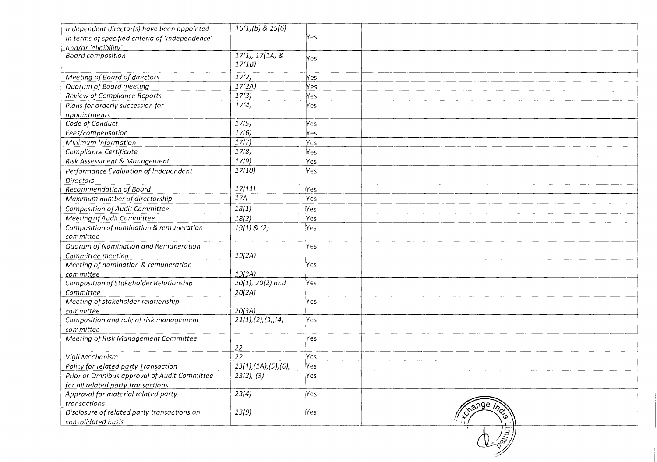| Independent director(s) have been appointed         | $16(1)(b)$ & $25(6)$               |                                |
|-----------------------------------------------------|------------------------------------|--------------------------------|
| in terms of specified criteria of 'independence'    |                                    | Yes                            |
| and/or 'eligibility'                                |                                    |                                |
| <b>Board composition</b>                            | $17(1), 17(1A)$ &                  | Yes                            |
|                                                     | 17(1B)                             |                                |
| Meeting of Board of directors                       | 17(2)                              | Nes                            |
| Quorum of Board meeting                             | 17(2A)                             | Yes                            |
| Review of Compliance Reports                        | 17(3)                              | Yes                            |
| Plans for orderly succession for                    | 17(4)                              | Yes                            |
| appointments                                        |                                    |                                |
| Code of Conduct                                     | 17(5)                              | Yes                            |
| Fees/compensation                                   | 17(6)                              | Yes                            |
| Minimum Information                                 | 17(7)                              | Yes                            |
| Compliance Certificate                              | 17(8)                              | Yes                            |
| Risk Assessment & Management                        | 17(9)                              | Yes                            |
| Performance Evaluation of Independent               | 17(10)                             | Yes                            |
| <b>Directors</b>                                    |                                    |                                |
| Recommendation of Board                             | 17(11)                             | Yes                            |
| Maximum number of directorship                      | 17A                                | Yes                            |
| Composition of Audit Committee                      | 18(1)                              | Yes                            |
| Meeting of Audit Committee                          | 18(2)                              | Yes                            |
| Composition of nomination & remuneration            | 19(1) 8(2)                         | Yes                            |
| committee                                           |                                    |                                |
| Quorum of Nomination and Remuneration               |                                    | Yes                            |
| Committee meeting                                   | 19(2A)                             |                                |
| Meeting of nomination & remuneration                |                                    | Yes                            |
| committee                                           | 19(3A)                             |                                |
| Composition of Stakeholder Relationship             | 20(1), 20(2) and                   | Yes                            |
| Committee                                           | 20(2A)                             |                                |
| Meeting of stakeholder relationship                 |                                    | Yes                            |
| committee                                           | 20(3A)                             |                                |
| Composition and role of risk management             | 21(1), (2), (3), (4)               | Yes                            |
| committee                                           |                                    |                                |
| Meeting of Risk Management Committee                |                                    | Yes                            |
|                                                     | 22                                 |                                |
| Vigil Mechanism                                     | 22                                 | Yes                            |
| Policy for related party Transaction                | $23(1)$ , $(1A)$ , $(5)$ , $(6)$ , | Yes                            |
| <b>Prior or Omnibus approval of Audit Committee</b> | 23(2), (3)                         | Yes                            |
| for all related party transactions                  |                                    |                                |
| Approval for material related party                 | 23(4)                              | Yes                            |
| transactions                                        |                                    |                                |
| Disclosure of related party transactions on         | 23(9)                              | <b>Exange Inc.</b><br>Yes<br>స |
| consolidated basis                                  |                                    |                                |
|                                                     |                                    | 闅                              |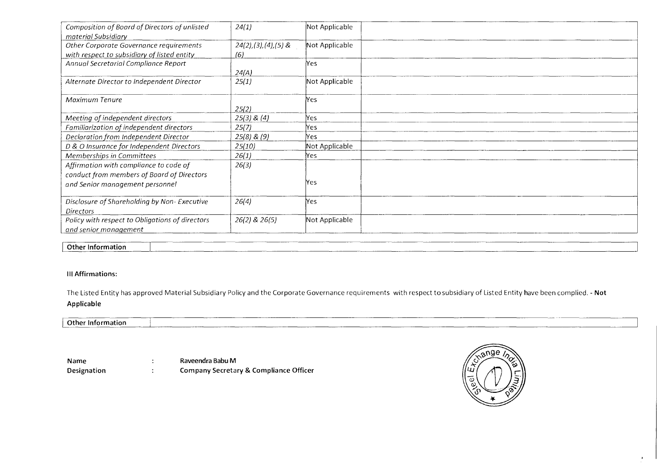| Composition of Board of Directors of unlisted   | 24(1)                    | Not Applicable |
|-------------------------------------------------|--------------------------|----------------|
| material Subsidiary                             |                          |                |
| Other Corporate Governance requirements         | $24(2), (3), (4), (5)$ & | Not Applicable |
| with respect to subsidiary of listed entity     | (6)                      |                |
| Annual Secretarial Compliance Report            |                          | Yes            |
|                                                 | 24(A)                    |                |
| Alternate Director to Independent Director      | 25(1)                    | Not Applicable |
| Maximum Tenure                                  |                          | Yes            |
|                                                 |                          |                |
|                                                 | 25(2)                    |                |
| Meeting of independent directors                | $25(3)$ & $(4)$          | Yes.           |
| Familiarization of independent directors        | 25(7)                    | Yes            |
| Declaration from Independent Director           | $25(8)$ & $(9)$          | Yes.           |
| D & O Insurance for Independent Directors       | 25(10)                   | Not Applicable |
| Memberships in Committees                       | 26(1)                    | .<br>Yes       |
| Affirmation with compliance to code of          | 26(3)                    |                |
| conduct from members of Board of Directors      |                          |                |
| and Senior management personnel                 |                          | Yes            |
| Disclosure of Shareholding by Non-Executive     | 26(4)                    | .<br>Yes       |
| <b>Directors</b>                                |                          |                |
| Policy with respect to Obligations of directors | 26(2) & 26(5)            | Not Applicable |
| and senior management                           |                          |                |

#### **Other Information**

#### **Ill Affirmations:**

The Listed Entity has approved Material Subsidiary Policy and the Corporate Governance requirements with respect to subsidiary of Listed Entity have been complied. - **Not Applicable** 

#### **Other Information**

**Name**   $\ddot{\cdot}$ **Designation**   $\mathbb{R}^2$  **Raveendra Babu M Company Secretary & Compliance Officer** 



 $\bullet$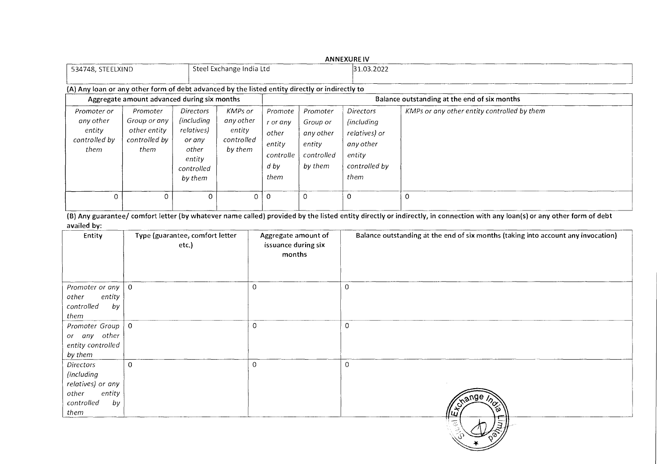|                                                                                                |                                                                   |                                                                                             |                                                         |                                                                       |                                                                      | <b>ANNEXURE IV</b>                                                                                      |                                              |
|------------------------------------------------------------------------------------------------|-------------------------------------------------------------------|---------------------------------------------------------------------------------------------|---------------------------------------------------------|-----------------------------------------------------------------------|----------------------------------------------------------------------|---------------------------------------------------------------------------------------------------------|----------------------------------------------|
| 534748, STEELXIND                                                                              |                                                                   |                                                                                             | Steel Exchange India Ltd                                |                                                                       |                                                                      | 31.03.2022                                                                                              |                                              |
| (A) Any loan or any other form of debt advanced by the listed entity directly or indirectly to |                                                                   |                                                                                             |                                                         |                                                                       |                                                                      |                                                                                                         |                                              |
|                                                                                                | Aggregate amount advanced during six months                       |                                                                                             |                                                         |                                                                       |                                                                      |                                                                                                         | Balance outstanding at the end of six months |
| Promoter or<br>any other<br>entity<br>controlled by<br>them                                    | Promoter<br>Group or any<br>other entity<br>controlled by<br>them | Directors<br>including)<br>relatives)<br>or any<br>other<br>entity<br>controlled<br>by them | KMPs or<br>any other<br>entity<br>controlled<br>by them | Promote<br>r or any<br>other<br>entity<br>controlle<br>$d$ by<br>them | Promoter<br>Group or<br>any other<br>entity<br>controlled<br>by them | <b>Directors</b><br><i>(including)</i><br>relatives) or<br>any other<br>entity<br>controlled by<br>them | KMPs or any other entity controlled by them  |
| $\Omega$                                                                                       | $\Omega$                                                          | $\Omega$                                                                                    | 0                                                       | $\Omega$                                                              | $\Omega$                                                             | $\Omega$                                                                                                | $\Omega$                                     |

(B) Any guarantee/ comfort letter (by whatever name called) provided by the listed entity directly or indirectly, in connection with any loan(s) or any other form of debt availed by:

| Entity                                                                                             | Type (guarantee, comfort letter<br>etc.) | Aggregate amount of<br>issuance during six<br>months | Balance outstanding at the end of six months (taking into account any invocation) |
|----------------------------------------------------------------------------------------------------|------------------------------------------|------------------------------------------------------|-----------------------------------------------------------------------------------|
| Promoter or any<br>other<br>entity<br>controlled<br>by<br>them                                     | O                                        | 0                                                    | $\circ$                                                                           |
| Promoter Group<br>or any other<br>entity controlled<br>by them                                     | $\circ$                                  | $\circ$                                              | $\mathbf 0$                                                                       |
| <b>Directors</b><br>(including<br>relatives) or any<br>entity<br>other<br>controlled<br>by<br>them | $\mathbf 0$                              | $\mathbf 0$                                          | $\circ$<br><b>Kange</b> .                                                         |
|                                                                                                    |                                          |                                                      |                                                                                   |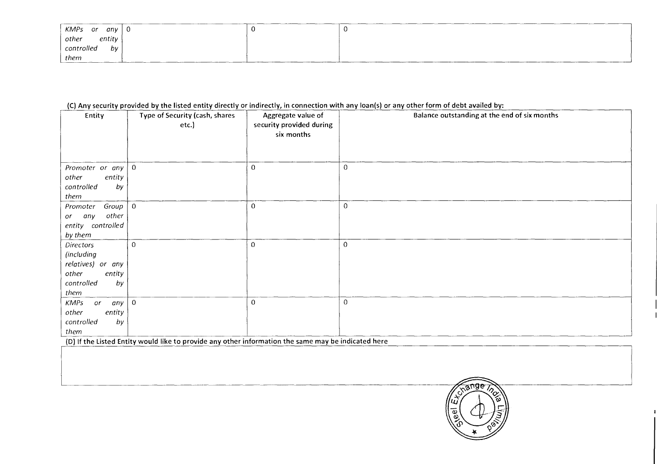| KMPs or<br>any   | J. | л. |
|------------------|----|----|
| entity<br>other  |    |    |
| controlled<br>bv |    |    |
| them             |    |    |

## (C) Any security provided by the listed entity directly or indirectly, in connection with any loan(s) or any other form of debt availed by:

| Entity                            | Type of Security (cash, shares<br>etc.) | Aggregate value of<br>security provided during<br>six months | Balance outstanding at the end of six months |
|-----------------------------------|-----------------------------------------|--------------------------------------------------------------|----------------------------------------------|
|                                   |                                         |                                                              |                                              |
| Promoter or any $\vert 0 \rangle$ |                                         | $\mathbf 0$                                                  | $\pmb{0}$                                    |
| other<br>entity                   |                                         |                                                              |                                              |
| controlled<br>by                  |                                         |                                                              |                                              |
| them                              |                                         |                                                              |                                              |
| Group $\vert 0 \vert$<br>Promoter |                                         | $\mathbf 0$                                                  | $\mathbf 0$                                  |
| other<br>any<br>or                |                                         |                                                              |                                              |
| entity controlled                 |                                         |                                                              |                                              |
| by them                           |                                         |                                                              |                                              |
| <b>Directors</b>                  | $\mathbf 0$                             | $\Omega$                                                     | $\overline{0}$                               |
| (including                        |                                         |                                                              |                                              |
| relatives) or any                 |                                         |                                                              |                                              |
| other<br>entity                   |                                         |                                                              |                                              |
| controlled<br>by                  |                                         |                                                              |                                              |
| them                              |                                         |                                                              |                                              |
| <b>KMPs</b><br>or<br> any         | $\overline{0}$                          | $\Omega$                                                     | $\Omega$                                     |
| entity<br>other                   |                                         |                                                              |                                              |
| controlled<br>by                  |                                         |                                                              |                                              |
| them                              |                                         |                                                              |                                              |

(D) If the Listed Entity would like to provide any other information the same may be indicated here